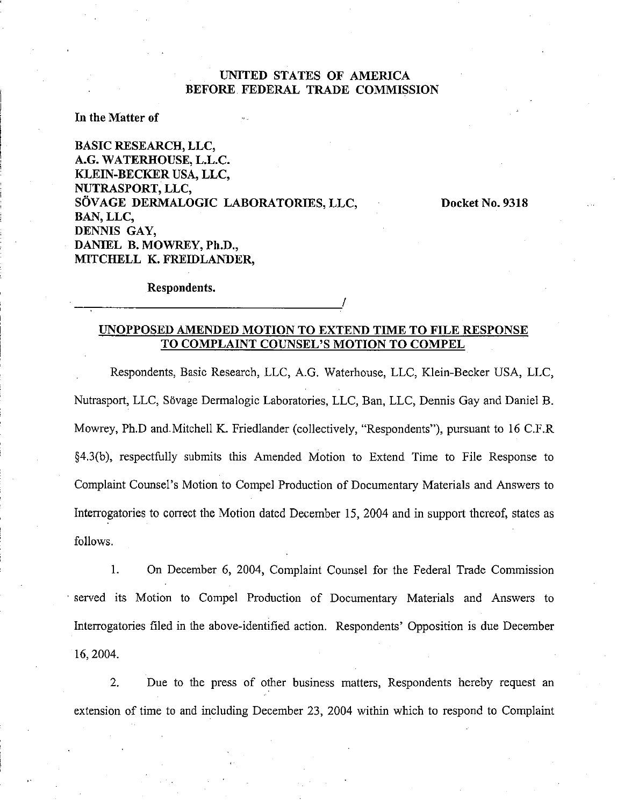### **UNITED STATES OF AMERICA BEFORE FEDERAL TRADE COMMISSION**

#### **In** the Matter **of**

**BASIC RESEARCH, LLC, A.G. WATERHOUSE, L.L.C. KLEIN-BECKER USA, LLC, NUTRASPORT, LLC,**  SÖVAGE DERMALOGIC LABORATORIES, LLC, Docket No. 9318 **BAN, LLC, DENNIS GAY, DANIEL B. MOWREY, Ph.D., MITCHELL K. FREIDLANDER,** 

Respondents.

## **UNOPPOSED AMENDED MOTION TO EXTEND TIME TO FILE RESPONSE TO C04IPLAINT COUNSEL'S MOTION TO COMPEL**

Respondents, Basic Research, LLC, A.G. Waterhouse, LLC, Klein-Becker USA, LLC, Nutrasport, LLC, Sövage Dermalogic Laboratories, LLC, Ban, LLC, Dennis Gay and Daniel B. Mowrey, Ph.D and Mitchell K. Friedlander (collectively, "Respondents"), pursuant to 16 C.F.R §4.3(b), respectfully submits this Amended Motion to Extend Time to File Response to Complaint Counsel's Motion to Compel Production of Documentary Materials and Answers to Interrogatories to correct the Motion dated December 15, 2004 and in support thereof, states as follows.

1. On December *6,* 2004, Complaint Counsel for the Federal Trade Commission served its Motion to Compel Production of Documentary Materials and Answers to Interrogatories filed in the above-identified action. Respondents' Opposition is due December 16,2004.

2. Due to the press of other business matters, Respondents hereby request an extension of time to and including December 23, 2004 within which to respond to Complaint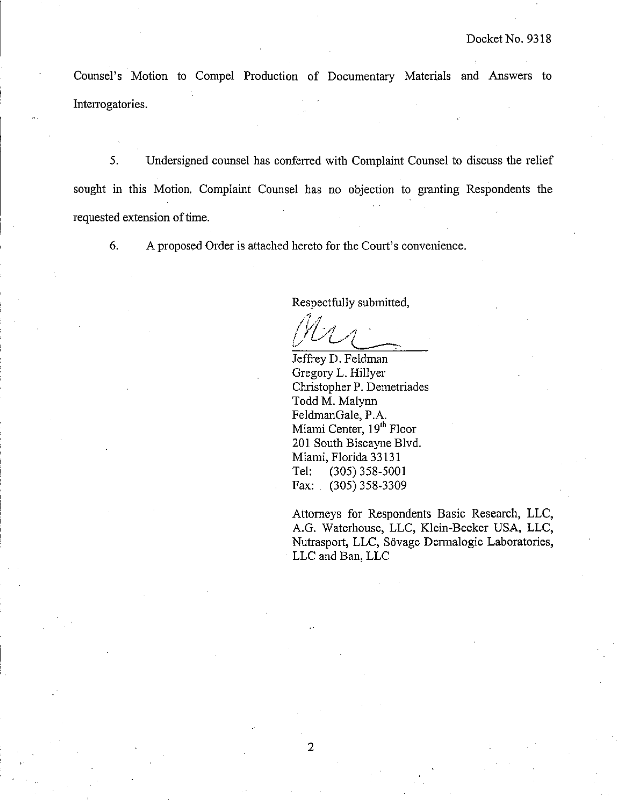Counsel's Motion to Compel Production of Documentary Materials and Answers to Interrogatories.

5. Undersigned counsel has conferred with Complaint Counsel to discuss the relief sought in this Motion. Complaint Counsel has no objection to granting Respondents the requested extension of time.

*6.* A proposed Order is attached hereto for the Court's convenience.

 $\mathbf{I}$ 

Respecthlly submitted,

Jeffrey D. Feldman Gregory L. Hillyer Christopher P. Demetriades Todd M. Malynn FeldmanGale, P.A. Miami Center, 19<sup>th</sup> Floor 201 South Biscayne Blvd. Miami, Florida 3313 1 Tel: (305) 358-5001 Fax: (305) 358-3309

Attorneys for Respondents Basic Research, LLC, A.G. Waterhouse, LLC, Klein-Becker USA, LLC, Nutrasport, LLC, Sövage Dermalogic Laboratories, LLC and Ban, LLC

 $\overline{2}$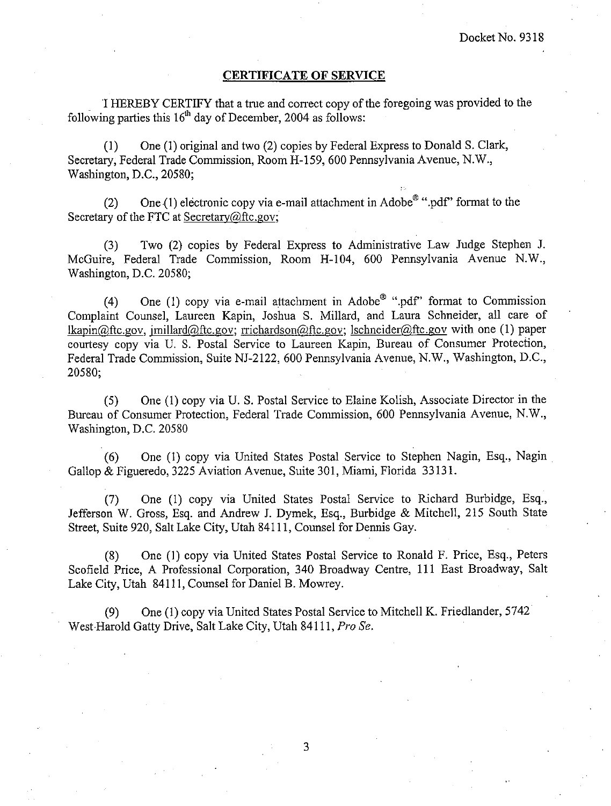#### **CERTIFICATE OF SERVICE**

'I HEREBY CERTIFY that a true and correct copy of the foregoing was provided to the following parties this  $16<sup>th</sup>$  day of December, 2004 as follows:

(1) One (1) original and two (2) copies by Federal Express to Donald S. Clark, Secretary, Federal Trade Commission, Room H-159,600 Pennsylvania Avenue, N.W., Washington, D.C., 20580;

(2) One (1) electronic copy via e-mail attachment in Adobe<sup>®</sup> ".pdf" format to the Secretary of the FTC at Secretary@ftc.gov;

(3) Two (2) copies by Federal Express to Administrative Law Judge Stephen J. McGuire, Federal Trade Commission, Room H-104, 600 Pennsylvania Avenue N.W., Washington, D.C. 20580;

(4) One (1) copy via e-mail attachment in Adobe<sup>®</sup> ".pdf" format to Commission Complaint Counsel, Laureen Kapin, Joshua S. Millard, and Laura Schneider, all care of lkapin@ftc.gov, imillard@ftc.gov; rrichardson@ftc.gov; lschneider@ftc.gov with one (1) paper courtesy copy via U. S. Postal Service to Laureen Kapin, Bureau of Consumer Protection, Federal Trade Commission, Suite NJ-2122, 600 Pennsylvania Avenue, N.W., Washington, D.C., 20580;

(5) One (1) copy via U. S. Postal Service to Elaine Kolish, Associate Director in the Bureau of Consumer Protection, Federal Trade Commission, 600 Pennsylvania Avenue, N.W., Washington, D.C. 20580

(6) One (1) copy via United States Postal Service to Stephen Nagin, Esq., Nagin Gallop & Figueredo, 3225 Aviation Avenue, Suite 301, Miami, Florida 33 13 1.

**(7)** One (1) copy via United States Postal Service to Richard Burbidge, Esq., Jefferson W. Gross, Esq. and Andrew J. Dymek, Esq., Burbidge & Mitchell, 215 South State Street, Suite 920, Salt Lake City, Utah 841 11, Counsel for Dennis Gay.

(8) One (1) copy via United States Postal Service to Ronald F. Price, Esq., Peters Scofield Price, A Professional Corporation, 340 Broadway Centre, 111 East Broadway, Salt Lake City, Utah 84111, Counsel for Daniel B. Mowrey.

(9) One (1) copy via United States Postal Service to Mitchell K. Friedlander, 5742 West.Harold Gatty Drive, Salt Lake City, Utah 8411 1, Pro *Se.* 

3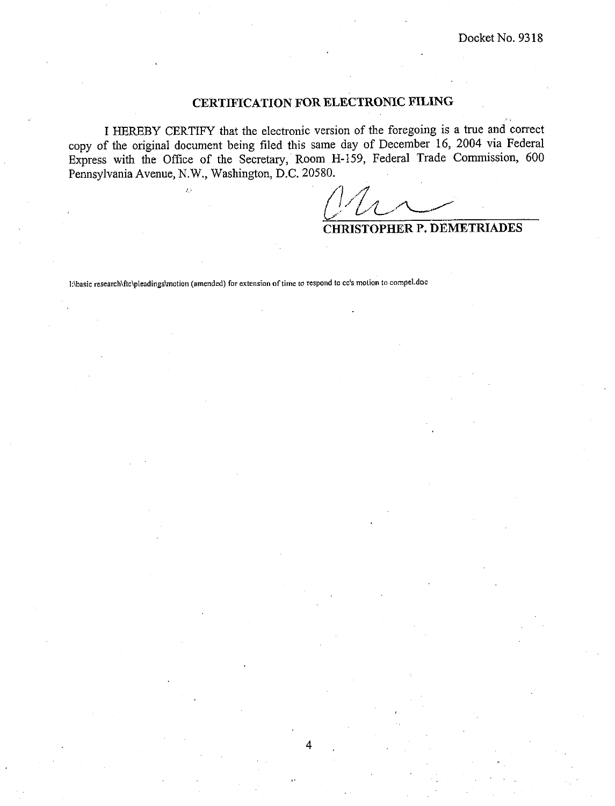# **CERTIFICATION FOR ELECTRONIC PILING**

I HEREBY CERTIFY that the electronic version of the foregoing is a true and correct copy of the original document being filed this same day of December 16, 2004 via Federal Express with the Office of the Secretary, Room H-159, Federal Trade Commission, 600 Pennsylvania Avenue, N.W., Washington, D.C. 20580.

*(g,\$L.u* 

**CHRISTOPHER P. DEMETRIADES** 

**I:\basic** research\ftc\pIeadings\motion **(amended) for extension of time to respond to cc's molion to compel.doc**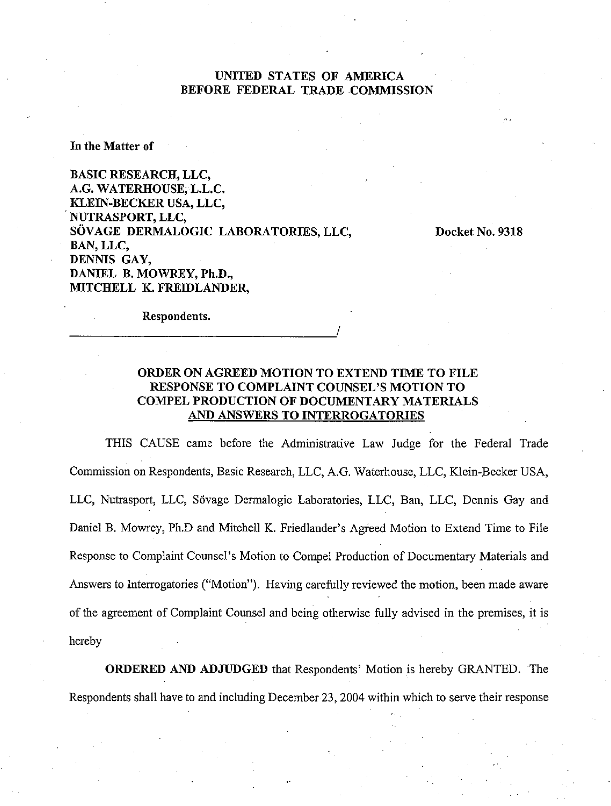## UNITED STATES OF AMERICA BEFORE FEDERAL TRADE COMMISSION

In the Matter of

BASIC RESEARCH, LLC, A.G. WATERHOUSE, L.L.C. KLEIN-BECKER USA, LLC, NUTRASPORT, LLC, SÖVAGE DERMALOGIC LABORATORIES, LLC, BAN, LLC, DENNIS GAY, DANIEL B. MOWREY, Ph.D., MITCHELL K. FREIDLANDER,

Docket No. 9318

Respondents.

## ORDER ON AGREED MOTION TO EXTEND TIME TO FILE RESPONSE TO COMPLAINT COUNSEL'S MOTION TO COMPEL PRODUCTION OF DOCUMENTARY MATERIALS AND ANSWERS TO INTERROGATORIES

THIS CAUSE came before the Administrative Law Judge for the Federal Trade Commission on Respondents, Basic Research, LLC, A.G. Waterhouse, LLC, Klein-Becker USA, LLC, Nutrasport, LLC, Sövage Dermalogic Laboratories, LLC, Ban, LLC, Dennis Gay and Daniel B. Mowrey, Ph.D and Mitchell K. Friedlander's Agreed Motion to Extend Time to File Response to Complaint Counsel's Motion to Compel Production of Documentary Materials and Answers to Interrogatories ("Motion"). Having carefully reviewed the motion, been made aware of the agreement of Complaint Counsel and being otherwise fully advised in the premises, it is hereby

ORDERED AND ADJUDGED that Respondents' Motion is hereby GRANTED. The Respondents shall have to and including December 23,2004 within which to serve their response